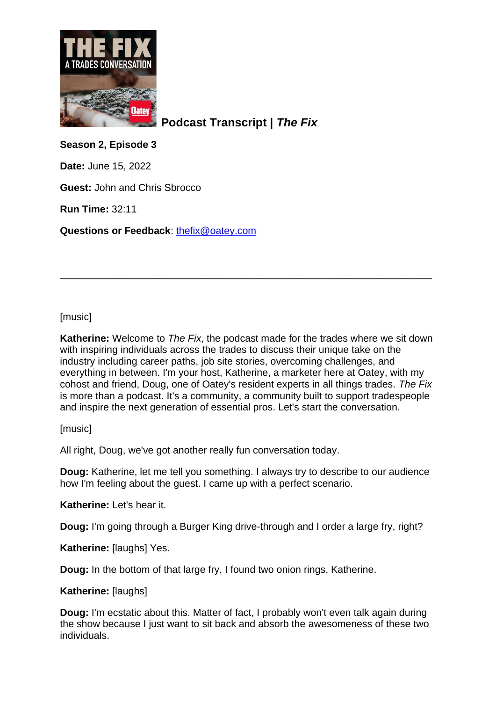

**Podcast Transcript |** *The Fix*

**Season 2, Episode 3**

**Date:** June 15, 2022

**Guest:** John and Chris Sbrocco

**Run Time:** 32:11

**Questions or Feedback**: [thefix@oatey.com](mailto:thefix@oatey.com)

[music]

**Katherine:** Welcome to *The Fix*, the podcast made for the trades where we sit down with inspiring individuals across the trades to discuss their unique take on the industry including career paths, job site stories, overcoming challenges, and everything in between. I'm your host, Katherine, a marketer here at Oatey, with my cohost and friend, Doug, one of Oatey's resident experts in all things trades. *The Fix* is more than a podcast. It's a community, a community built to support tradespeople and inspire the next generation of essential pros. Let's start the conversation.

\_\_\_\_\_\_\_\_\_\_\_\_\_\_\_\_\_\_\_\_\_\_\_\_\_\_\_\_\_\_\_\_\_\_\_\_\_\_\_\_\_\_\_\_\_\_\_\_\_\_\_\_\_\_\_\_\_\_\_\_\_\_\_\_\_\_\_

[music]

All right, Doug, we've got another really fun conversation today.

**Doug:** Katherine, let me tell you something. I always try to describe to our audience how I'm feeling about the guest. I came up with a perfect scenario.

**Katherine:** Let's hear it.

**Doug:** I'm going through a Burger King drive-through and I order a large fry, right?

**Katherine:** [laughs] Yes.

**Doug:** In the bottom of that large fry, I found two onion rings, Katherine.

**Katherine:** [laughs]

**Doug:** I'm ecstatic about this. Matter of fact, I probably won't even talk again during the show because I just want to sit back and absorb the awesomeness of these two individuals.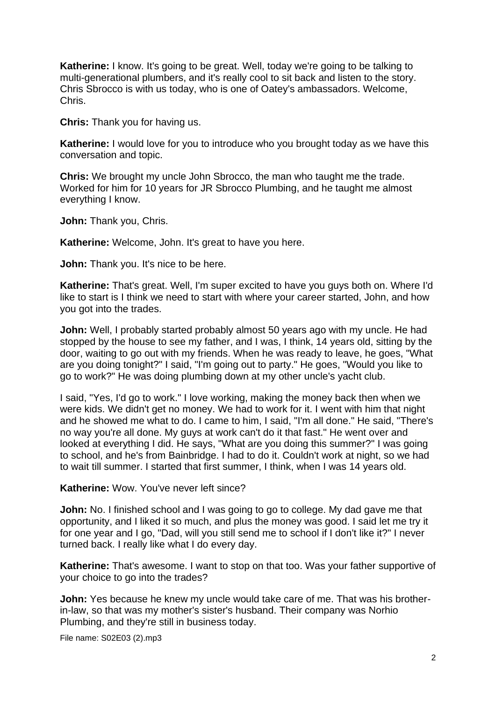**Katherine:** I know. It's going to be great. Well, today we're going to be talking to multi-generational plumbers, and it's really cool to sit back and listen to the story. Chris Sbrocco is with us today, who is one of Oatey's ambassadors. Welcome, Chris.

**Chris:** Thank you for having us.

**Katherine:** I would love for you to introduce who you brought today as we have this conversation and topic.

**Chris:** We brought my uncle John Sbrocco, the man who taught me the trade. Worked for him for 10 years for JR Sbrocco Plumbing, and he taught me almost everything I know.

**John:** Thank you, Chris.

**Katherine:** Welcome, John. It's great to have you here.

**John:** Thank you. It's nice to be here.

**Katherine:** That's great. Well, I'm super excited to have you guys both on. Where I'd like to start is I think we need to start with where your career started, John, and how you got into the trades.

**John:** Well, I probably started probably almost 50 years ago with my uncle. He had stopped by the house to see my father, and I was, I think, 14 years old, sitting by the door, waiting to go out with my friends. When he was ready to leave, he goes, "What are you doing tonight?" I said, "I'm going out to party." He goes, "Would you like to go to work?" He was doing plumbing down at my other uncle's yacht club.

I said, "Yes, I'd go to work." I love working, making the money back then when we were kids. We didn't get no money. We had to work for it. I went with him that night and he showed me what to do. I came to him, I said, "I'm all done." He said, "There's no way you're all done. My guys at work can't do it that fast." He went over and looked at everything I did. He says, "What are you doing this summer?" I was going to school, and he's from Bainbridge. I had to do it. Couldn't work at night, so we had to wait till summer. I started that first summer, I think, when I was 14 years old.

**Katherine:** Wow. You've never left since?

**John:** No. I finished school and I was going to go to college. My dad gave me that opportunity, and I liked it so much, and plus the money was good. I said let me try it for one year and I go, "Dad, will you still send me to school if I don't like it?" I never turned back. I really like what I do every day.

**Katherine:** That's awesome. I want to stop on that too. Was your father supportive of your choice to go into the trades?

**John:** Yes because he knew my uncle would take care of me. That was his brotherin-law, so that was my mother's sister's husband. Their company was Norhio Plumbing, and they're still in business today.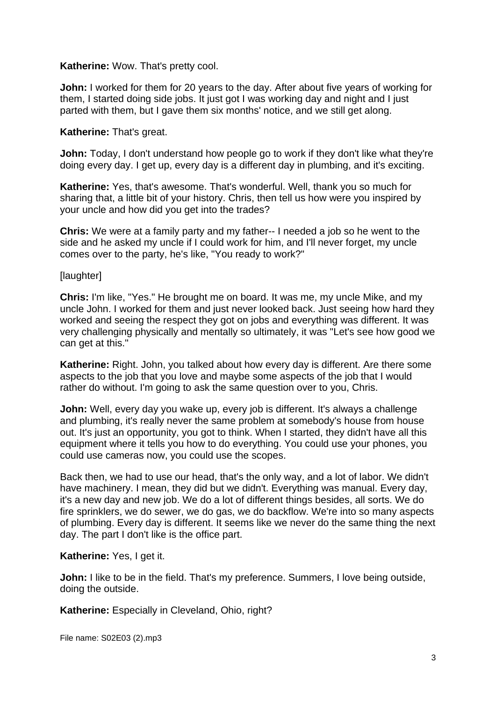#### **Katherine:** Wow. That's pretty cool.

**John:** I worked for them for 20 years to the day. After about five years of working for them, I started doing side jobs. It just got I was working day and night and I just parted with them, but I gave them six months' notice, and we still get along.

#### **Katherine:** That's great.

**John:** Today, I don't understand how people go to work if they don't like what they're doing every day. I get up, every day is a different day in plumbing, and it's exciting.

**Katherine:** Yes, that's awesome. That's wonderful. Well, thank you so much for sharing that, a little bit of your history. Chris, then tell us how were you inspired by your uncle and how did you get into the trades?

**Chris:** We were at a family party and my father-- I needed a job so he went to the side and he asked my uncle if I could work for him, and I'll never forget, my uncle comes over to the party, he's like, "You ready to work?"

#### [laughter]

**Chris:** I'm like, "Yes." He brought me on board. It was me, my uncle Mike, and my uncle John. I worked for them and just never looked back. Just seeing how hard they worked and seeing the respect they got on jobs and everything was different. It was very challenging physically and mentally so ultimately, it was "Let's see how good we can get at this."

**Katherine:** Right. John, you talked about how every day is different. Are there some aspects to the job that you love and maybe some aspects of the job that I would rather do without. I'm going to ask the same question over to you, Chris.

**John:** Well, every day you wake up, every job is different. It's always a challenge and plumbing, it's really never the same problem at somebody's house from house out. It's just an opportunity, you got to think. When I started, they didn't have all this equipment where it tells you how to do everything. You could use your phones, you could use cameras now, you could use the scopes.

Back then, we had to use our head, that's the only way, and a lot of labor. We didn't have machinery. I mean, they did but we didn't. Everything was manual. Every day, it's a new day and new job. We do a lot of different things besides, all sorts. We do fire sprinklers, we do sewer, we do gas, we do backflow. We're into so many aspects of plumbing. Every day is different. It seems like we never do the same thing the next day. The part I don't like is the office part.

#### **Katherine:** Yes, I get it.

**John:** I like to be in the field. That's my preference. Summers, I love being outside, doing the outside.

**Katherine:** Especially in Cleveland, Ohio, right?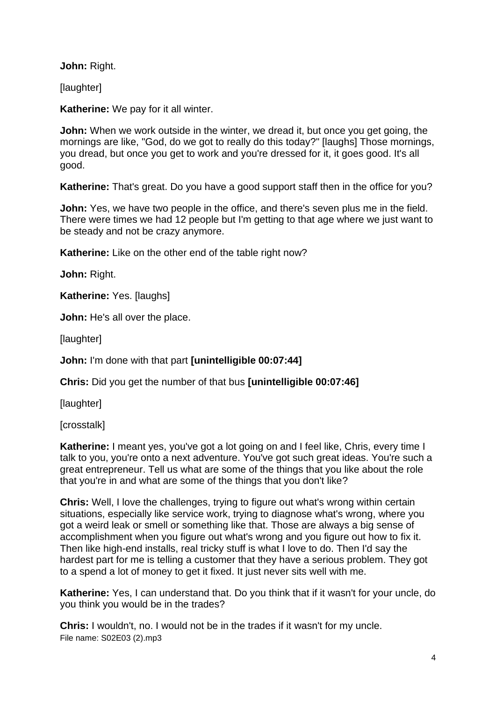**John:** Right.

[laughter]

**Katherine:** We pay for it all winter.

**John:** When we work outside in the winter, we dread it, but once you get going, the mornings are like, "God, do we got to really do this today?" [laughs] Those mornings, you dread, but once you get to work and you're dressed for it, it goes good. It's all good.

**Katherine:** That's great. Do you have a good support staff then in the office for you?

**John:** Yes, we have two people in the office, and there's seven plus me in the field. There were times we had 12 people but I'm getting to that age where we just want to be steady and not be crazy anymore.

**Katherine:** Like on the other end of the table right now?

**John:** Right.

**Katherine:** Yes. [laughs]

**John:** He's all over the place.

[laughter]

**John:** I'm done with that part **[unintelligible 00:07:44]**

**Chris:** Did you get the number of that bus **[unintelligible 00:07:46]**

[laughter]

[crosstalk]

**Katherine:** I meant yes, you've got a lot going on and I feel like, Chris, every time I talk to you, you're onto a next adventure. You've got such great ideas. You're such a great entrepreneur. Tell us what are some of the things that you like about the role that you're in and what are some of the things that you don't like?

**Chris:** Well, I love the challenges, trying to figure out what's wrong within certain situations, especially like service work, trying to diagnose what's wrong, where you got a weird leak or smell or something like that. Those are always a big sense of accomplishment when you figure out what's wrong and you figure out how to fix it. Then like high-end installs, real tricky stuff is what I love to do. Then I'd say the hardest part for me is telling a customer that they have a serious problem. They got to a spend a lot of money to get it fixed. It just never sits well with me.

**Katherine:** Yes, I can understand that. Do you think that if it wasn't for your uncle, do you think you would be in the trades?

File name: S02E03 (2).mp3 **Chris:** I wouldn't, no. I would not be in the trades if it wasn't for my uncle.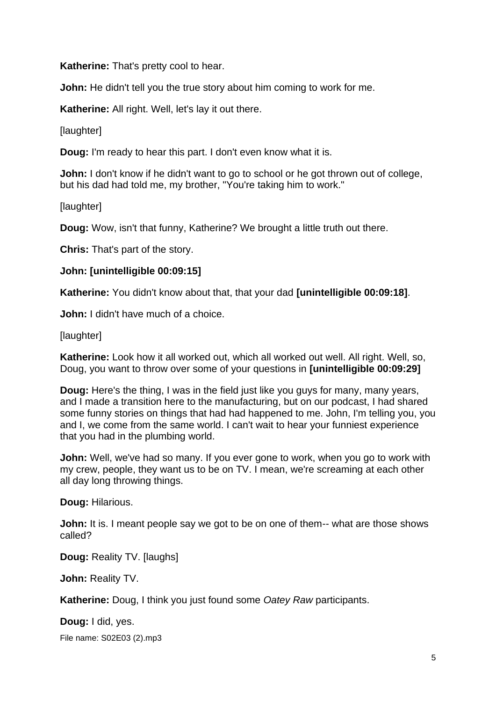**Katherine:** That's pretty cool to hear.

**John:** He didn't tell you the true story about him coming to work for me.

**Katherine:** All right. Well, let's lay it out there.

**Ilaughterl** 

**Doug:** I'm ready to hear this part. I don't even know what it is.

**John:** I don't know if he didn't want to go to school or he got thrown out of college, but his dad had told me, my brother, "You're taking him to work."

[laughter]

**Doug:** Wow, isn't that funny, Katherine? We brought a little truth out there.

**Chris:** That's part of the story.

#### **John: [unintelligible 00:09:15]**

**Katherine:** You didn't know about that, that your dad **[unintelligible 00:09:18]**.

**John:** I didn't have much of a choice.

[laughter]

**Katherine:** Look how it all worked out, which all worked out well. All right. Well, so, Doug, you want to throw over some of your questions in **[unintelligible 00:09:29]**

**Doug:** Here's the thing, I was in the field just like you guys for many, many years, and I made a transition here to the manufacturing, but on our podcast, I had shared some funny stories on things that had had happened to me. John, I'm telling you, you and I, we come from the same world. I can't wait to hear your funniest experience that you had in the plumbing world.

**John:** Well, we've had so many. If you ever gone to work, when you go to work with my crew, people, they want us to be on TV. I mean, we're screaming at each other all day long throwing things.

**Doug:** Hilarious.

**John:** It is. I meant people say we got to be on one of them-- what are those shows called?

**Doug:** Reality TV. [laughs]

**John:** Reality TV.

**Katherine:** Doug, I think you just found some *Oatey Raw* participants.

File name: S02E03 (2).mp3 **Doug:** I did, yes.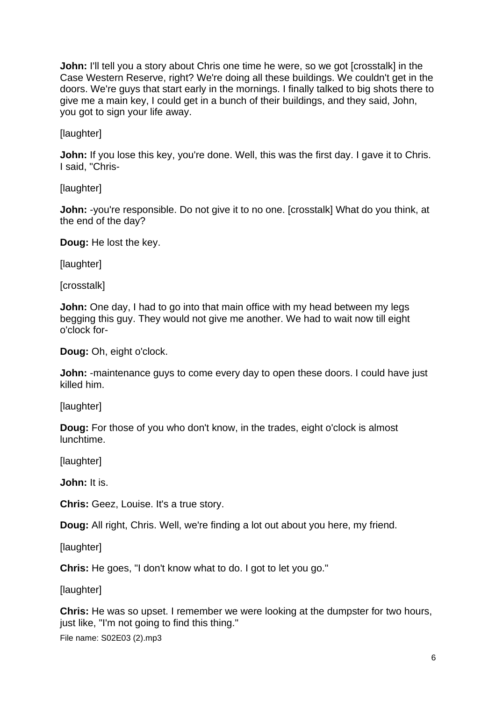**John:** I'll tell you a story about Chris one time he were, so we got [crosstalk] in the Case Western Reserve, right? We're doing all these buildings. We couldn't get in the doors. We're guys that start early in the mornings. I finally talked to big shots there to give me a main key, I could get in a bunch of their buildings, and they said, John, you got to sign your life away.

[laughter]

**John:** If you lose this key, you're done. Well, this was the first day. I gave it to Chris. I said, "Chris-

**[laughter]** 

**John:** -you're responsible. Do not give it to no one. [crosstalk] What do you think, at the end of the day?

**Doug:** He lost the key.

[laughter]

[crosstalk]

**John:** One day, I had to go into that main office with my head between my legs begging this guy. They would not give me another. We had to wait now till eight o'clock for-

**Doug:** Oh, eight o'clock.

**John:** -maintenance guys to come every day to open these doors. I could have just killed him.

[laughter]

**Doug:** For those of you who don't know, in the trades, eight o'clock is almost lunchtime.

[laughter]

**John:** It is.

**Chris:** Geez, Louise. It's a true story.

**Doug:** All right, Chris. Well, we're finding a lot out about you here, my friend.

[laughter]

**Chris:** He goes, "I don't know what to do. I got to let you go."

[laughter]

**Chris:** He was so upset. I remember we were looking at the dumpster for two hours, just like, "I'm not going to find this thing."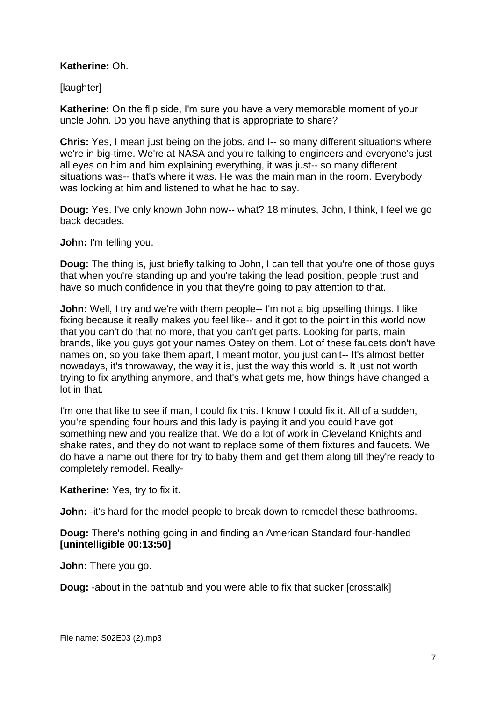## **Katherine:** Oh.

[laughter]

**Katherine:** On the flip side, I'm sure you have a very memorable moment of your uncle John. Do you have anything that is appropriate to share?

**Chris:** Yes, I mean just being on the jobs, and I-- so many different situations where we're in big-time. We're at NASA and you're talking to engineers and everyone's just all eyes on him and him explaining everything, it was just-- so many different situations was-- that's where it was. He was the main man in the room. Everybody was looking at him and listened to what he had to say.

**Doug:** Yes. I've only known John now-- what? 18 minutes, John, I think, I feel we go back decades.

**John:** I'm telling you.

**Doug:** The thing is, just briefly talking to John, I can tell that you're one of those guys that when you're standing up and you're taking the lead position, people trust and have so much confidence in you that they're going to pay attention to that.

**John:** Well, I try and we're with them people-- I'm not a big upselling things. I like fixing because it really makes you feel like-- and it got to the point in this world now that you can't do that no more, that you can't get parts. Looking for parts, main brands, like you guys got your names Oatey on them. Lot of these faucets don't have names on, so you take them apart, I meant motor, you just can't-- It's almost better nowadays, it's throwaway, the way it is, just the way this world is. It just not worth trying to fix anything anymore, and that's what gets me, how things have changed a lot in that.

I'm one that like to see if man, I could fix this. I know I could fix it. All of a sudden, you're spending four hours and this lady is paying it and you could have got something new and you realize that. We do a lot of work in Cleveland Knights and shake rates, and they do not want to replace some of them fixtures and faucets. We do have a name out there for try to baby them and get them along till they're ready to completely remodel. Really-

**Katherine:** Yes, try to fix it.

**John:** -it's hard for the model people to break down to remodel these bathrooms.

**Doug:** There's nothing going in and finding an American Standard four-handled **[unintelligible 00:13:50]**

**John:** There you go.

**Doug:** -about in the bathtub and you were able to fix that sucker [crosstalk]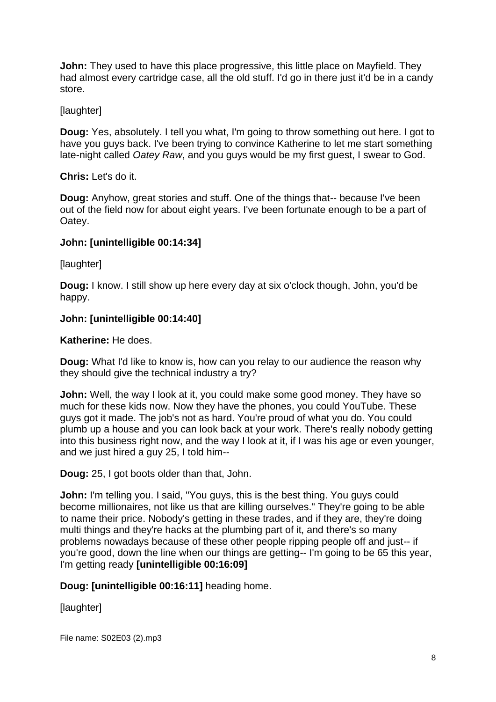**John:** They used to have this place progressive, this little place on Mayfield. They had almost every cartridge case, all the old stuff. I'd go in there just it'd be in a candy store.

# **[laughter]**

**Doug:** Yes, absolutely. I tell you what, I'm going to throw something out here. I got to have you guys back. I've been trying to convince Katherine to let me start something late-night called *Oatey Raw*, and you guys would be my first guest, I swear to God.

## **Chris:** Let's do it.

**Doug:** Anyhow, great stories and stuff. One of the things that-- because I've been out of the field now for about eight years. I've been fortunate enough to be a part of Oatey.

## **John: [unintelligible 00:14:34]**

[laughter]

**Doug:** I know. I still show up here every day at six o'clock though, John, you'd be happy.

## **John: [unintelligible 00:14:40]**

**Katherine:** He does.

**Doug:** What I'd like to know is, how can you relay to our audience the reason why they should give the technical industry a try?

**John:** Well, the way I look at it, you could make some good money. They have so much for these kids now. Now they have the phones, you could YouTube. These guys got it made. The job's not as hard. You're proud of what you do. You could plumb up a house and you can look back at your work. There's really nobody getting into this business right now, and the way I look at it, if I was his age or even younger, and we just hired a guy 25, I told him--

**Doug:** 25, I got boots older than that, John.

**John:** I'm telling you. I said, "You guys, this is the best thing. You guys could become millionaires, not like us that are killing ourselves." They're going to be able to name their price. Nobody's getting in these trades, and if they are, they're doing multi things and they're hacks at the plumbing part of it, and there's so many problems nowadays because of these other people ripping people off and just-- if you're good, down the line when our things are getting-- I'm going to be 65 this year, I'm getting ready **[unintelligible 00:16:09]**

**Doug: [unintelligible 00:16:11]** heading home.

[laughter]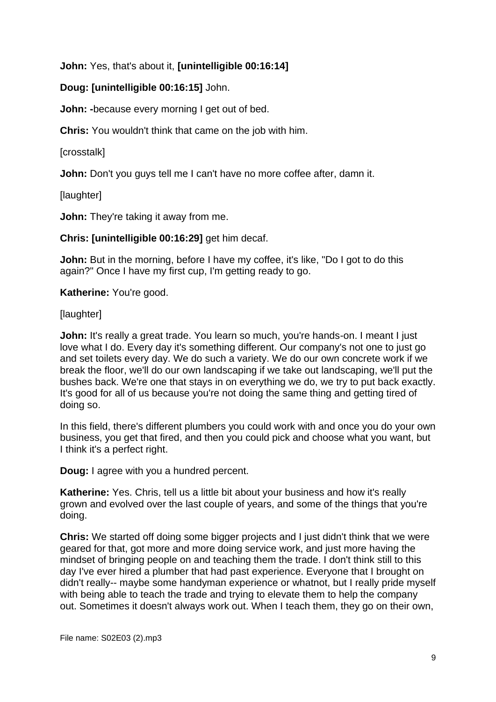**John:** Yes, that's about it, **[unintelligible 00:16:14]**

# **Doug: [unintelligible 00:16:15]** John.

**John: -**because every morning I get out of bed.

**Chris:** You wouldn't think that came on the job with him.

[crosstalk]

**John:** Don't you guys tell me I can't have no more coffee after, damn it.

[laughter]

**John:** They're taking it away from me.

**Chris: [unintelligible 00:16:29]** get him decaf.

**John:** But in the morning, before I have my coffee, it's like, "Do I got to do this again?" Once I have my first cup, I'm getting ready to go.

**Katherine:** You're good.

[laughter]

**John:** It's really a great trade. You learn so much, you're hands-on. I meant I just love what I do. Every day it's something different. Our company's not one to just go and set toilets every day. We do such a variety. We do our own concrete work if we break the floor, we'll do our own landscaping if we take out landscaping, we'll put the bushes back. We're one that stays in on everything we do, we try to put back exactly. It's good for all of us because you're not doing the same thing and getting tired of doing so.

In this field, there's different plumbers you could work with and once you do your own business, you get that fired, and then you could pick and choose what you want, but I think it's a perfect right.

**Doug:** I agree with you a hundred percent.

**Katherine:** Yes. Chris, tell us a little bit about your business and how it's really grown and evolved over the last couple of years, and some of the things that you're doing.

**Chris:** We started off doing some bigger projects and I just didn't think that we were geared for that, got more and more doing service work, and just more having the mindset of bringing people on and teaching them the trade. I don't think still to this day I've ever hired a plumber that had past experience. Everyone that I brought on didn't really-- maybe some handyman experience or whatnot, but I really pride myself with being able to teach the trade and trying to elevate them to help the company out. Sometimes it doesn't always work out. When I teach them, they go on their own,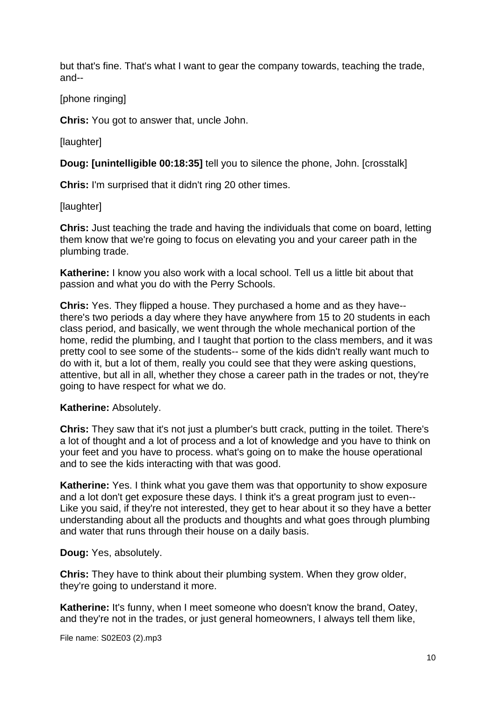but that's fine. That's what I want to gear the company towards, teaching the trade, and--

# [phone ringing]

**Chris:** You got to answer that, uncle John.

[laughter]

**Doug: [unintelligible 00:18:35]** tell you to silence the phone, John. [crosstalk]

**Chris:** I'm surprised that it didn't ring 20 other times.

[laughter]

**Chris:** Just teaching the trade and having the individuals that come on board, letting them know that we're going to focus on elevating you and your career path in the plumbing trade.

**Katherine:** I know you also work with a local school. Tell us a little bit about that passion and what you do with the Perry Schools.

**Chris:** Yes. They flipped a house. They purchased a home and as they have- there's two periods a day where they have anywhere from 15 to 20 students in each class period, and basically, we went through the whole mechanical portion of the home, redid the plumbing, and I taught that portion to the class members, and it was pretty cool to see some of the students-- some of the kids didn't really want much to do with it, but a lot of them, really you could see that they were asking questions, attentive, but all in all, whether they chose a career path in the trades or not, they're going to have respect for what we do.

### **Katherine:** Absolutely.

**Chris:** They saw that it's not just a plumber's butt crack, putting in the toilet. There's a lot of thought and a lot of process and a lot of knowledge and you have to think on your feet and you have to process. what's going on to make the house operational and to see the kids interacting with that was good.

**Katherine:** Yes. I think what you gave them was that opportunity to show exposure and a lot don't get exposure these days. I think it's a great program just to even-- Like you said, if they're not interested, they get to hear about it so they have a better understanding about all the products and thoughts and what goes through plumbing and water that runs through their house on a daily basis.

**Doug:** Yes, absolutely.

**Chris:** They have to think about their plumbing system. When they grow older, they're going to understand it more.

**Katherine:** It's funny, when I meet someone who doesn't know the brand, Oatey, and they're not in the trades, or just general homeowners, I always tell them like,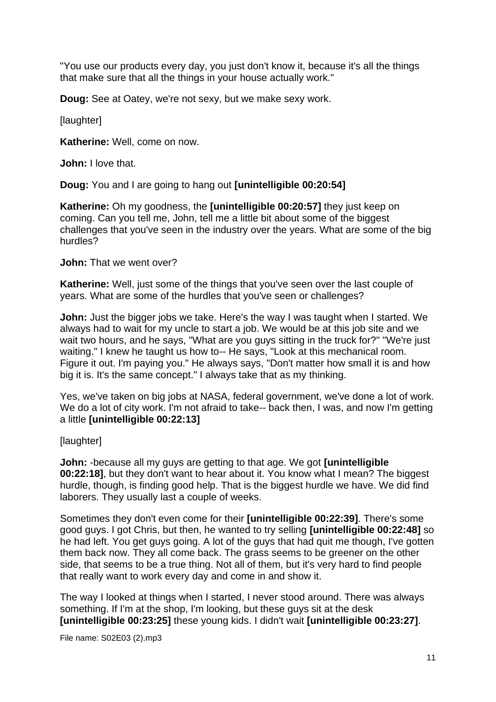"You use our products every day, you just don't know it, because it's all the things that make sure that all the things in your house actually work."

**Doug:** See at Oatey, we're not sexy, but we make sexy work.

[laughter]

**Katherine:** Well, come on now.

**John:** I love that.

**Doug:** You and I are going to hang out **[unintelligible 00:20:54]**

**Katherine:** Oh my goodness, the **[unintelligible 00:20:57]** they just keep on coming. Can you tell me, John, tell me a little bit about some of the biggest challenges that you've seen in the industry over the years. What are some of the big hurdles?

**John:** That we went over?

**Katherine:** Well, just some of the things that you've seen over the last couple of years. What are some of the hurdles that you've seen or challenges?

**John:** Just the bigger jobs we take. Here's the way I was taught when I started. We always had to wait for my uncle to start a job. We would be at this job site and we wait two hours, and he says, "What are you guys sitting in the truck for?" "We're just waiting." I knew he taught us how to-- He says, "Look at this mechanical room. Figure it out. I'm paying you." He always says, "Don't matter how small it is and how big it is. It's the same concept." I always take that as my thinking.

Yes, we've taken on big jobs at NASA, federal government, we've done a lot of work. We do a lot of city work. I'm not afraid to take-- back then, I was, and now I'm getting a little **[unintelligible 00:22:13]**

[laughter]

**John:** -because all my guys are getting to that age. We got **[unintelligible 00:22:18]**, but they don't want to hear about it. You know what I mean? The biggest hurdle, though, is finding good help. That is the biggest hurdle we have. We did find laborers. They usually last a couple of weeks.

Sometimes they don't even come for their **[unintelligible 00:22:39]**. There's some good guys. I got Chris, but then, he wanted to try selling **[unintelligible 00:22:48]** so he had left. You get guys going. A lot of the guys that had quit me though, I've gotten them back now. They all come back. The grass seems to be greener on the other side, that seems to be a true thing. Not all of them, but it's very hard to find people that really want to work every day and come in and show it.

The way I looked at things when I started, I never stood around. There was always something. If I'm at the shop, I'm looking, but these guys sit at the desk **[unintelligible 00:23:25]** these young kids. I didn't wait **[unintelligible 00:23:27]**.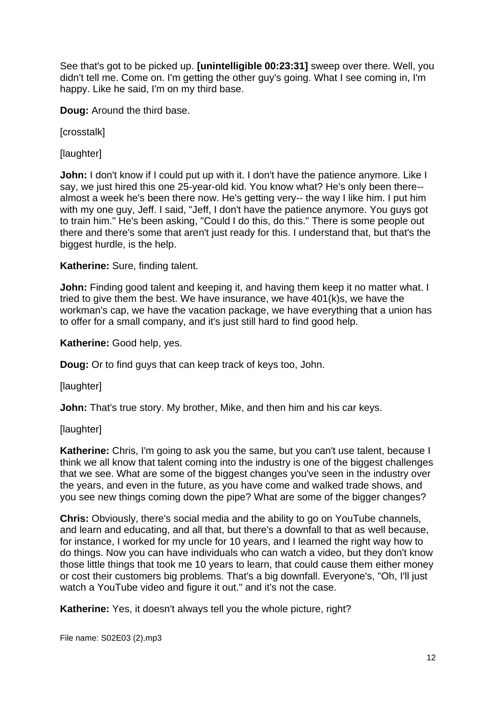See that's got to be picked up. **[unintelligible 00:23:31]** sweep over there. Well, you didn't tell me. Come on. I'm getting the other guy's going. What I see coming in, I'm happy. Like he said, I'm on my third base.

**Doug:** Around the third base.

[crosstalk]

[laughter]

**John:** I don't know if I could put up with it. I don't have the patience anymore. Like I say, we just hired this one 25-year-old kid. You know what? He's only been there- almost a week he's been there now. He's getting very-- the way I like him. I put him with my one guy, Jeff. I said, "Jeff, I don't have the patience anymore. You guys got to train him." He's been asking, "Could I do this, do this." There is some people out there and there's some that aren't just ready for this. I understand that, but that's the biggest hurdle, is the help.

**Katherine:** Sure, finding talent.

**John:** Finding good talent and keeping it, and having them keep it no matter what. I tried to give them the best. We have insurance, we have 401(k)s, we have the workman's cap, we have the vacation package, we have everything that a union has to offer for a small company, and it's just still hard to find good help.

**Katherine:** Good help, yes.

**Doug:** Or to find guys that can keep track of keys too, John.

[laughter]

**John:** That's true story. My brother, Mike, and then him and his car keys.

[laughter]

**Katherine:** Chris, I'm going to ask you the same, but you can't use talent, because I think we all know that talent coming into the industry is one of the biggest challenges that we see. What are some of the biggest changes you've seen in the industry over the years, and even in the future, as you have come and walked trade shows, and you see new things coming down the pipe? What are some of the bigger changes?

**Chris:** Obviously, there's social media and the ability to go on YouTube channels, and learn and educating, and all that, but there's a downfall to that as well because, for instance, I worked for my uncle for 10 years, and I learned the right way how to do things. Now you can have individuals who can watch a video, but they don't know those little things that took me 10 years to learn, that could cause them either money or cost their customers big problems. That's a big downfall. Everyone's, "Oh, I'll just watch a YouTube video and figure it out." and it's not the case.

**Katherine:** Yes, it doesn't always tell you the whole picture, right?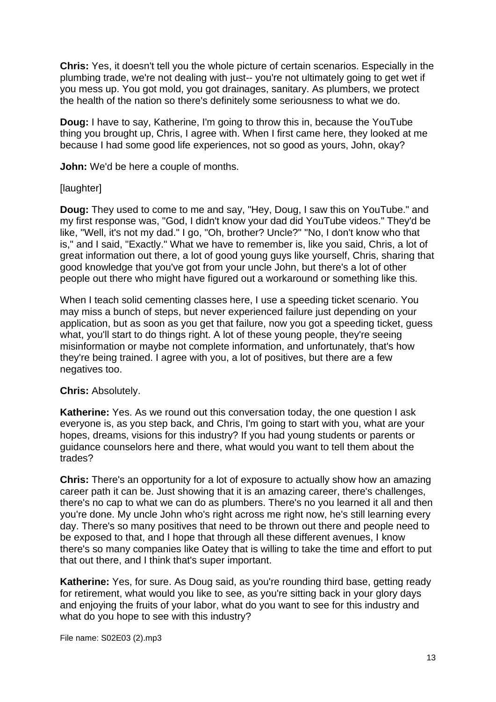**Chris:** Yes, it doesn't tell you the whole picture of certain scenarios. Especially in the plumbing trade, we're not dealing with just-- you're not ultimately going to get wet if you mess up. You got mold, you got drainages, sanitary. As plumbers, we protect the health of the nation so there's definitely some seriousness to what we do.

**Doug:** I have to say, Katherine, I'm going to throw this in, because the YouTube thing you brought up, Chris, I agree with. When I first came here, they looked at me because I had some good life experiences, not so good as yours, John, okay?

**John:** We'd be here a couple of months.

#### **[laughter]**

**Doug:** They used to come to me and say, "Hey, Doug, I saw this on YouTube." and my first response was, "God, I didn't know your dad did YouTube videos." They'd be like, "Well, it's not my dad." I go, "Oh, brother? Uncle?" "No, I don't know who that is," and I said, "Exactly." What we have to remember is, like you said, Chris, a lot of great information out there, a lot of good young guys like yourself, Chris, sharing that good knowledge that you've got from your uncle John, but there's a lot of other people out there who might have figured out a workaround or something like this.

When I teach solid cementing classes here, I use a speeding ticket scenario. You may miss a bunch of steps, but never experienced failure just depending on your application, but as soon as you get that failure, now you got a speeding ticket, guess what, you'll start to do things right. A lot of these young people, they're seeing misinformation or maybe not complete information, and unfortunately, that's how they're being trained. I agree with you, a lot of positives, but there are a few negatives too.

#### **Chris:** Absolutely.

**Katherine:** Yes. As we round out this conversation today, the one question I ask everyone is, as you step back, and Chris, I'm going to start with you, what are your hopes, dreams, visions for this industry? If you had young students or parents or guidance counselors here and there, what would you want to tell them about the trades?

**Chris:** There's an opportunity for a lot of exposure to actually show how an amazing career path it can be. Just showing that it is an amazing career, there's challenges, there's no cap to what we can do as plumbers. There's no you learned it all and then you're done. My uncle John who's right across me right now, he's still learning every day. There's so many positives that need to be thrown out there and people need to be exposed to that, and I hope that through all these different avenues, I know there's so many companies like Oatey that is willing to take the time and effort to put that out there, and I think that's super important.

**Katherine:** Yes, for sure. As Doug said, as you're rounding third base, getting ready for retirement, what would you like to see, as you're sitting back in your glory days and enjoying the fruits of your labor, what do you want to see for this industry and what do you hope to see with this industry?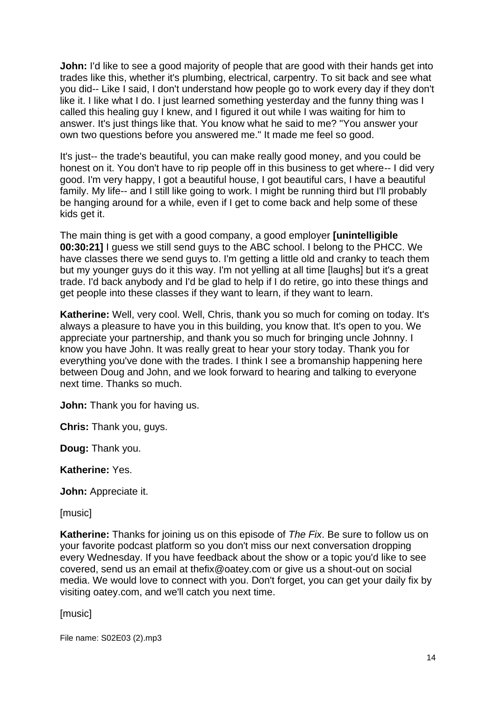**John:** I'd like to see a good majority of people that are good with their hands get into trades like this, whether it's plumbing, electrical, carpentry. To sit back and see what you did-- Like I said, I don't understand how people go to work every day if they don't like it. I like what I do. I just learned something yesterday and the funny thing was I called this healing guy I knew, and I figured it out while I was waiting for him to answer. It's just things like that. You know what he said to me? "You answer your own two questions before you answered me." It made me feel so good.

It's just-- the trade's beautiful, you can make really good money, and you could be honest on it. You don't have to rip people off in this business to get where-- I did very good. I'm very happy, I got a beautiful house, I got beautiful cars, I have a beautiful family. My life-- and I still like going to work. I might be running third but I'll probably be hanging around for a while, even if I get to come back and help some of these kids get it.

The main thing is get with a good company, a good employer **[unintelligible 00:30:21]** I guess we still send guys to the ABC school. I belong to the PHCC. We have classes there we send guys to. I'm getting a little old and cranky to teach them but my younger guys do it this way. I'm not yelling at all time [laughs] but it's a great trade. I'd back anybody and I'd be glad to help if I do retire, go into these things and get people into these classes if they want to learn, if they want to learn.

**Katherine:** Well, very cool. Well, Chris, thank you so much for coming on today. It's always a pleasure to have you in this building, you know that. It's open to you. We appreciate your partnership, and thank you so much for bringing uncle Johnny. I know you have John. It was really great to hear your story today. Thank you for everything you've done with the trades. I think I see a bromanship happening here between Doug and John, and we look forward to hearing and talking to everyone next time. Thanks so much.

**John:** Thank you for having us.

**Chris:** Thank you, guys.

**Doug:** Thank you.

**Katherine:** Yes.

**John:** Appreciate it.

[music]

**Katherine:** Thanks for joining us on this episode of *The Fix*. Be sure to follow us on your favorite podcast platform so you don't miss our next conversation dropping every Wednesday. If you have feedback about the show or a topic you'd like to see covered, send us an email at thefix@oatey.com or give us a shout-out on social media. We would love to connect with you. Don't forget, you can get your daily fix by visiting oatey.com, and we'll catch you next time.

[music]